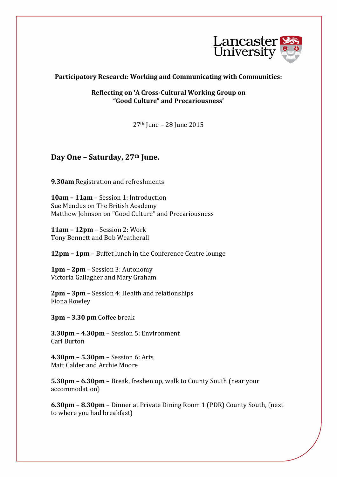

## **Participatory Research: Working and Communicating with Communities:**

**Reflecting on 'A Cross-Cultural Working Group on "Good Culture" and Precariousness'**

27th June – 28 June 2015

## **Day One – Saturday, 27th June.**

**9.30am** Registration and refreshments

**10am – 11am** – Session 1: Introduction Sue Mendus on The British Academy Matthew Johnson on "Good Culture" and Precariousness

**11am – 12pm** – Session 2: Work Tony Bennett and Bob Weatherall

**12pm – 1pm** – Buffet lunch in the Conference Centre lounge

**1pm – 2pm** – Session 3: Autonomy Victoria Gallagher and Mary Graham

**2pm – 3pm** – Session 4: Health and relationships Fiona Rowley

**3pm – 3.30 pm** Coffee break

**3.30pm – 4.30pm** – Session 5: Environment Carl Burton

**4.30pm – 5.30pm** – Session 6: Arts Matt Calder and Archie Moore

**5.30pm – 6.30pm** – Break, freshen up, walk to County South (near your accommodation)

**6.30pm – 8.30pm** – Dinner at Private Dining Room 1 (PDR) County South, (next to where you had breakfast)